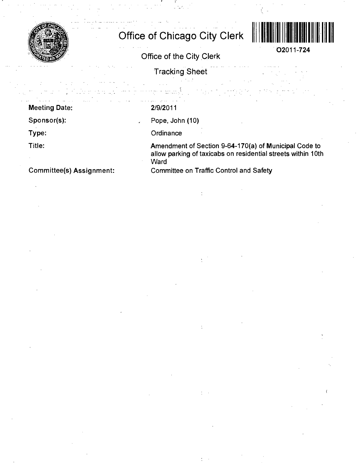

## **Office of Chicago City Clerk**



**02011-724** 

Office of the City Clerk

Tracking Sheet

Meeting Date:

Sponsor(s):

Type:

Title:

2/9/2011

Pope, John (10)

**Ordinance** 

Amendment of Section 9-64-170(a) of Municipal Code to allow parking of taxicabs on residential streets within 10th **Ward** 

Committee(s) Assignment:

Committee on Traffic Control and Safety